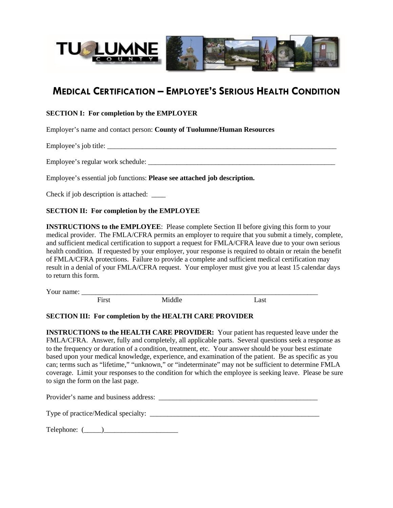

# **MEDICAL CERTIFICATION – EMPLOYEE'S SERIOUS HEALTH CONDITION**

## **SECTION I: For completion by the EMPLOYER**

Employer's name and contact person: **County of Tuolumne/Human Resources**

Employee's job title:

Employee's regular work schedule:

Employee's essential job functions: **Please see attached job description.**

Check if job description is attached: \_\_\_\_

#### **SECTION II: For completion by the EMPLOYEE**

**INSTRUCTIONS to the EMPLOYEE**: Please complete Section II before giving this form to your medical provider. The FMLA/CFRA permits an employer to require that you submit a timely, complete, and sufficient medical certification to support a request for FMLA/CFRA leave due to your own serious health condition. If requested by your employer, your response is required to obtain or retain the benefit of FMLA/CFRA protections. Failure to provide a complete and sufficient medical certification may result in a denial of your FMLA/CFRA request. Your employer must give you at least 15 calendar days to return this form.

Your name:

First Middle Last

#### **SECTION III: For completion by the HEALTH CARE PROVIDER**

**INSTRUCTIONS to the HEALTH CARE PROVIDER:** Your patient has requested leave under the FMLA/CFRA. Answer, fully and completely, all applicable parts. Several questions seek a response as to the frequency or duration of a condition, treatment, etc. Your answer should be your best estimate based upon your medical knowledge, experience, and examination of the patient. Be as specific as you can; terms such as "lifetime," "unknown," or "indeterminate" may not be sufficient to determine FMLA coverage. Limit your responses to the condition for which the employee is seeking leave. Please be sure to sign the form on the last page.

Provider's name and business address:

Type of practice/Medical specialty:

 $Telephone:$  (  $\qquad$  )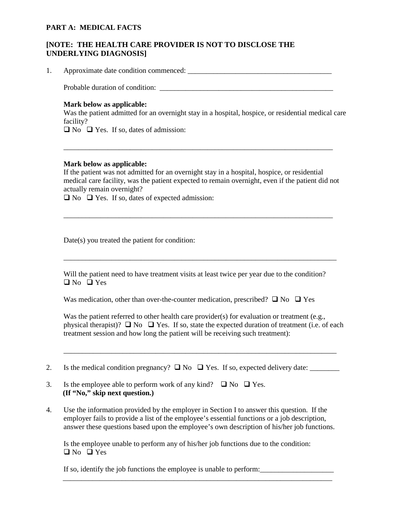## **PART A: MEDICAL FACTS**

# **[NOTE: THE HEALTH CARE PROVIDER IS NOT TO DISCLOSE THE UNDERLYING DIAGNOSIS]**

1. Approximate date condition commenced: \_\_\_\_\_\_\_\_\_\_\_\_\_\_\_\_\_\_\_\_\_\_\_\_\_\_\_\_\_\_\_\_\_\_\_\_\_\_\_

Probable duration of condition:

#### **Mark below as applicable:**

Was the patient admitted for an overnight stay in a hospital, hospice, or residential medical care facility?

 $\Box$  No  $\Box$  Yes. If so, dates of admission:

#### **Mark below as applicable:**

If the patient was not admitted for an overnight stay in a hospital, hospice, or residential medical care facility, was the patient expected to remain overnight, even if the patient did not actually remain overnight?

\_\_\_\_\_\_\_\_\_\_\_\_\_\_\_\_\_\_\_\_\_\_\_\_\_\_\_\_\_\_\_\_\_\_\_\_\_\_\_\_\_\_\_\_\_\_\_\_\_\_\_\_\_\_\_\_\_\_\_\_\_\_\_\_\_\_\_\_\_\_\_\_\_

\_\_\_\_\_\_\_\_\_\_\_\_\_\_\_\_\_\_\_\_\_\_\_\_\_\_\_\_\_\_\_\_\_\_\_\_\_\_\_\_\_\_\_\_\_\_\_\_\_\_\_\_\_\_\_\_\_\_\_\_\_\_\_\_\_\_\_\_\_\_\_\_\_

 $\Box$  No  $\Box$  Yes. If so, dates of expected admission:

Date(s) you treated the patient for condition:

Will the patient need to have treatment visits at least twice per year due to the condition?  $\Box$  No  $\Box$  Yes

\_\_\_\_\_\_\_\_\_\_\_\_\_\_\_\_\_\_\_\_\_\_\_\_\_\_\_\_\_\_\_\_\_\_\_\_\_\_\_\_\_\_\_\_\_\_\_\_\_\_\_\_\_\_\_\_\_\_\_\_\_\_\_\_\_\_\_\_\_\_\_\_\_\_

Was medication, other than over-the-counter medication, prescribed?  $\Box$  No  $\Box$  Yes

Was the patient referred to other health care provider(s) for evaluation or treatment (e.g., physical therapist)?  $\Box$  No  $\Box$  Yes. If so, state the expected duration of treatment (i.e. of each treatment session and how long the patient will be receiving such treatment):

\_\_\_\_\_\_\_\_\_\_\_\_\_\_\_\_\_\_\_\_\_\_\_\_\_\_\_\_\_\_\_\_\_\_\_\_\_\_\_\_\_\_\_\_\_\_\_\_\_\_\_\_\_\_\_\_\_\_\_\_\_\_\_\_\_\_\_\_\_\_\_\_\_\_

2. Is the medical condition pregnancy?  $\Box$  No  $\Box$  Yes. If so, expected delivery date:

- 3. Is the employee able to perform work of any kind?  $\Box$  No  $\Box$  Yes.  **(If "No," skip next question.)**
- 4. Use the information provided by the employer in Section I to answer this question. If the employer fails to provide a list of the employee's essential functions or a job description, answer these questions based upon the employee's own description of his/her job functions.

Is the employee unable to perform any of his/her job functions due to the condition:  $\Box$  No  $\Box$  Yes

\_\_\_\_\_\_\_\_\_\_\_\_\_\_\_\_\_\_\_\_\_\_\_\_\_\_\_\_\_\_\_\_\_\_\_\_\_\_\_\_\_\_\_\_\_\_\_\_\_\_\_\_\_\_\_\_\_\_\_\_\_\_\_\_\_\_\_\_\_\_\_\_\_

If so, identify the job functions the employee is unable to perform: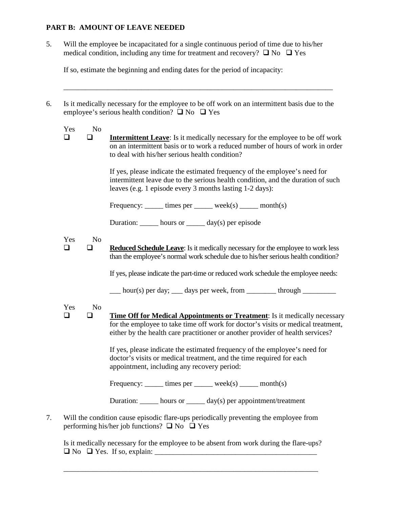# **PART B: AMOUNT OF LEAVE NEEDED**

5. Will the employee be incapacitated for a single continuous period of time due to his/her medical condition, including any time for treatment and recovery?  $\Box$  No  $\Box$  Yes

If so, estimate the beginning and ending dates for the period of incapacity:

6. Is it medically necessary for the employee to be off work on an intermittent basis due to the employee's serious health condition?  $\Box$  No  $\Box$  Yes

\_\_\_\_\_\_\_\_\_\_\_\_\_\_\_\_\_\_\_\_\_\_\_\_\_\_\_\_\_\_\_\_\_\_\_\_\_\_\_\_\_\_\_\_\_\_\_\_\_\_\_\_\_\_\_\_\_\_\_\_\_\_\_\_\_\_\_\_\_\_\_\_\_

| Yes | No |
|-----|----|
|     |    |

 **Intermittent Leave**: Is it medically necessary for the employee to be off work on an intermittent basis or to work a reduced number of hours of work in order to deal with his/her serious health condition?

> If yes, please indicate the estimated frequency of the employee's need for intermittent leave due to the serious health condition, and the duration of such leaves (e.g. 1 episode every 3 months lasting 1-2 days):

Frequency:  $times$  times per  $week(s)$  month(s)

Duration: hours or day(s) per episode

### Yes No

**Reduced Schedule Leave:** Is it medically necessary for the employee to work less than the employee's normal work schedule due to his/her serious health condition?

If yes, please indicate the part-time or reduced work schedule the employee needs:

 $\frac{1}{2}$  hour(s) per day; days per week, from through

Yes No

 **Time Off for Medical Appointments or Treatment**: Is it medically necessary for the employee to take time off work for doctor's visits or medical treatment, either by the health care practitioner or another provider of health services?

> If yes, please indicate the estimated frequency of the employee's need for doctor's visits or medical treatment, and the time required for each appointment, including any recovery period:

Frequency:  $\frac{1}{\text{times per}}$  times per  $\frac{1}{\text{times (s)}}$  month(s)

Duration: \_\_\_\_\_ hours or \_\_\_\_\_ day(s) per appointment/treatment

7. Will the condition cause episodic flare-ups periodically preventing the employee from performing his/her job functions?  $\Box$  No  $\Box$  Yes

Is it medically necessary for the employee to be absent from work during the flare-ups?  $\Box$  No  $\Box$  Yes. If so, explain:

\_\_\_\_\_\_\_\_\_\_\_\_\_\_\_\_\_\_\_\_\_\_\_\_\_\_\_\_\_\_\_\_\_\_\_\_\_\_\_\_\_\_\_\_\_\_\_\_\_\_\_\_\_\_\_\_\_\_\_\_\_\_\_\_\_\_\_\_\_